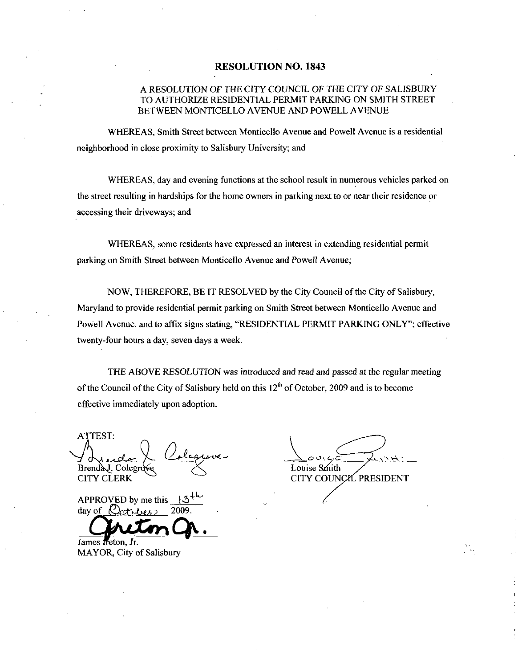#### RESOLUTION NO. 1843

# A RESOLUTION OF THE CITYCOUNCIL OF THE CITY OF SALISBURY TO AUTHORIZE RESIDENTIAL PERMIT PARKING ON SMITH STREET BETWEEN MONTICELLO AVENUE AND POWELL AVENUE

WHEREAS Smith Street between Monticello Avenue and Powell Avenue is a residential neighborhood in close proximity to Salisbury University; and

WHEREAS, day and evening functions at the school result in numerous vehicles parked on the street resulting in hardships for the home owners in parking next to or near their residence or accessing their driveways; and

WHEREAS, some residents have expressed an interest in extending residential permit parking on Smith Street between Monticello Avenue and Powell Avenue;

NOW, THEREFORE, BE IT RESOLVED by the City Council of the City of Salisbury, Maryland to provide residential permit parking on Smith Street between Monticello Avenue and Powell Avenue, and to affix signs stating, "RESIDENTIAL PERMIT PARKING ONLY"; effective twenty-four hours a day, seven days a week.

THE ABOVE RESOLUTION was introduced and read and passed at the regular meeting of the Council of the City of Salisbury held on this  $12<sup>th</sup>$  of October, 2009 and is to become effective immediately upon adoption

ATTEST

Brenday. Colegrows<br>CITY CLERK CITY CO<br>APPROVED by me this  $\frac{3^{16}}{2009}$ day of  $\mathcal{R}$ 

James freton. Jr. MAYOR, City of Salisbury

 $g$ </u> Brend A. Colegrove Collection Collection Collection Collection Collection Collection Collection Collection Collection Collection Collection Collection Collection Collection Collection Collection Collection Collection Colle CITY CLERK COLORES CHEMICAL CONSTRUCTION CONTROLLERS CONSTRUCTION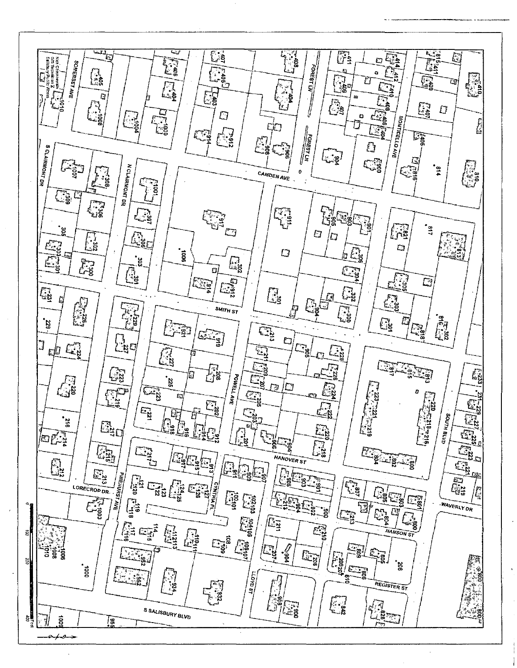画 以前  $\overline{\mathbb{C}}$ **年道**  $\overline{G}$ **Altragation** F, Not Chamberlaln ( \*)<br>GIS Technician 2<br>Salishury Public Werks 痉 SOMERSETAVE **LES EDREST WARRIERS**  $\widehat{\mathbb{C}}_2^1$ **OB**  $\sum_{k=0}^{n}$ J. a **REAL** Ç La  $\begin{bmatrix} \cdot \\ \cdot \\ \cdot \\ \cdot \end{bmatrix}$ È ছে **A** 屈 ा<br>ँई  $\overline{\Box}$  $\mathbb{S}$  $\mathbb{G}$ n<br>Lig  $\mathbb{Z}$ Ľ.  $\varGamma$ **City**  $\Box$ ្មខ្ចុ MONTIGELLO AVE ò t.)<br>Lis **EORESTLAN** CO Eğ E. يتعم  $\mathbb{F}_3$ Ù **SCLAIRMONT DR**  $\frac{1}{2}$  $\widehat{E}$ Cg **AR N CLAIRMONT DR**  $^{14}$ CAMDEN AVE ၟၟ  $\pmb{\mathfrak{o}}$  $\mathbf{u}$ **Cap** ្អូ **He Bay** Ę **Ja Canal**  $E_{\vec{i}}$ 屏  $-113$ ន្លំចិ  $\mathbb{C}$  $\mathbb{C}$ 43 (L) 信 ्ट्र  $\Box$ 。<br>888  $E_{\rm s}$  $\overline{U}$  $\boxed{\sum_{\mathbf{q} \in \mathcal{Q}}\mathbf{p}^{\mathbf{q}}_{\mathbf{q}}}}$ **Fig** ្អូ **Execute**  $\overline{\mathbb{G}}$ D) ្ទុំ Æg **Age**  $\left| \Phi_{\rm rj1}^{\rm eq2} \right|$ 马 Ce ្ជូ Le E8 局 **Reserve Fig** SMITH ST ្ត្រូ<br>ខេ **Existe**  $\mathbb{G}$ E  $\begin{picture}(220,20) \put(0,0){\line(1,0){10}} \put(15,0){\line(1,0){10}} \put(15,0){\line(1,0){10}} \put(15,0){\line(1,0){10}} \put(15,0){\line(1,0){10}} \put(15,0){\line(1,0){10}} \put(15,0){\line(1,0){10}} \put(15,0){\line(1,0){10}} \put(15,0){\line(1,0){10}} \put(15,0){\line(1,0){10}} \put(15,0){\line(1,0){10}} \put(15,0){\line($  $\mathbb{Z}_2$  $E_{\frac{3}{2}}^{2}$ ្លែ  $\begin{picture}(220,20) \put(0,0){\line(1,0){155}} \put(15,0){\line(1,0){155}} \put(15,0){\line(1,0){155}} \put(15,0){\line(1,0){155}} \put(15,0){\line(1,0){155}} \put(15,0){\line(1,0){155}} \put(15,0){\line(1,0){155}} \put(15,0){\line(1,0){155}} \put(15,0){\line(1,0){155}} \put(15,0){\line(1,0){155}} \put(15,0){\line(1,0){155}}$  $E_{\rm s}$ q  $\mathbb{C}$ ્રિકૃ J  $\boxed{\Box^3_{25}}$  $E_{\frac{1}{2}}$ rΦ  $\mathbb{Z}$ E الارابية<br>الأولية 孫 E. <u>੍ਰਿਲ੍ਹ</u>  $\mathbb{E}^{23}$ **POWELL AVE** G  $E_{\rm g}$  $\overline{235}$  $\mathbb{Z}_8$  $\widehat{\mathbb{C}}_3$  $\mathbb{D}^{|C|}$  $\frac{1}{2}$ ្ត្រី **ESP**  $\mathbf{z}$  $\mathbb{Z}^n_3$ b  $\begin{bmatrix} 1 & 220 \\ 1 & 248 \\ 1 & 248 \end{bmatrix}$ £. E. **EN**  $\varpi$ E3  $\mathbb{C}^{\mathbf{S}^{\prime}}_{\mathbf{S}^{\prime}}$  $\mathbb{F}_\ell$ anta HTUB  $\boxed{\widetilde{\Xi}^2_2}$ ≝่ ់ដូ  $\mathbb{E}^{2D}$ ្នាំ<br>ដឹង GLU **Regined**  $\begin{bmatrix} \frac{1}{2} \\ \frac{1}{2} \\ \frac{1}{2} \end{bmatrix}$ ្នះ .<br>Z bļi  $\mathbf{z}$  $\begin{bmatrix} \mathbf{r}^{\text{3D4}} \\ \mathbf{r}^{\text{4D4}} \end{bmatrix}$  $\begin{bmatrix} \mathbb{G}_2 \\ \mathbb{G}_2 \end{bmatrix}$ 鳳  $\frac{1}{2}$ **Eventual Eri** HANDVER ST  $\frac{1}{\binom{2}{2}}$ <u>ြို့</u> 3 ala<br>Pelas E  $\begin{bmatrix} \frac{12}{120} \\ 0 \end{bmatrix}$ **PINEHURSTAVE** <u>lile</u> ႜၒၟ  $\sqrt{\frac{2}{9}}$  $\begin{array}{c} \square \\ \square \\ \square \\ \square \end{array}$  $\begin{picture}(20,20) \put(0,0){\line(1,0){15}} \put(15,0){\line(1,0){15}} \put(15,0){\line(1,0){15}} \put(15,0){\line(1,0){15}} \put(15,0){\line(1,0){15}} \put(15,0){\line(1,0){15}} \put(15,0){\line(1,0){15}} \put(15,0){\line(1,0){15}} \put(15,0){\line(1,0){15}} \put(15,0){\line(1,0){15}} \put(15,0){\line(1,0){15}} \put(15,0){\line(1$ **CYNTHIA** LORECROP DR  $\widehat{\mathbb{C}}_{\mathbf{g}}$ ್ತಾ<br>' ನ Ę **Algebra** ႍၔၟ E-go-Eg  $\sum_{i=1}^{n}$  $\begin{bmatrix} 1 \\ \frac{1}{2} \\ \frac{1}{2} \\ \frac{1}{2} \end{bmatrix}$ C. **WAVERLY DR**  $\bar{\Xi}$ is<br>8 ်၌<br>ကို **ES**  $\mathbb{F}_q$  $\sum_{i=1}^{n}$ **SER** <u>दिर</u><br>इंडे HANSON ST 健  $\vec{e}$ /a  $\begin{bmatrix} \overline{C_1} \\ \overline{C_2} \\ \overline{C_3} \end{bmatrix}$ **Ais**  $E_{\frac{3}{2}}$ **Eg** nos<br>≌  $\mathbb{Z}$ g"  $\begin{picture}(120,170)(-20,0) \put(0,0){\line(1,0){15}} \put(15,0){\line(1,0){15}} \put(15,0){\line(1,0){15}} \put(15,0){\line(1,0){15}} \put(15,0){\line(1,0){15}} \put(15,0){\line(1,0){15}} \put(15,0){\line(1,0){15}} \put(15,0){\line(1,0){15}} \put(15,0){\line(1,0){15}} \put(15,0){\line(1,0){15}} \put(15,0){\line(1,0){15}} \put(1$  $\frac{3}{2}$  $\frac{1}{2}$ g ្មែ<br>ភូមិ pa  $\tilde{z}$ ់ខ្ល ias<br>Dag  $18007$ REGISTER ST ្លឹង  $\mathcal{G}^{\mathbf{G}}$ ն.<br>"\*\* ့္ခ္ခ S SALISBURY BLVD ្ថ័ន្ធកា â  $\ddot{a}$ <u>| 9</u>  $\overline{\phantom{a}}$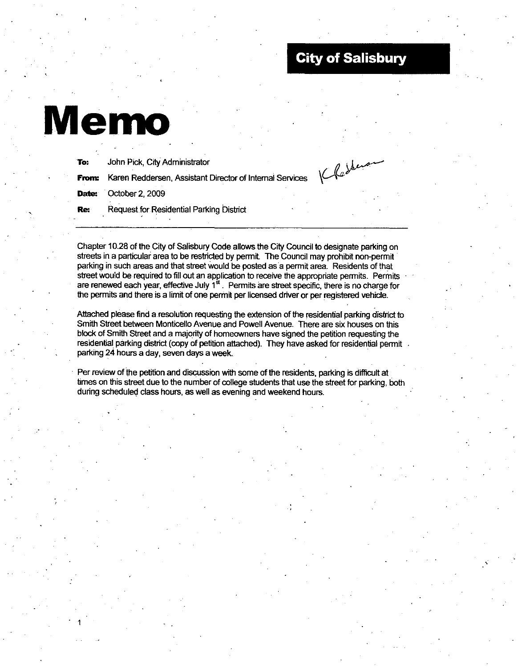# **City of Salisbury**

# Memo

| To:   | John Pick, City Administrator                            |  |
|-------|----------------------------------------------------------|--|
| From: | Karen Reddersen, Assistant Director of Internal Services |  |
| Date: | October 2, 2009                                          |  |
| Re.   | Request for Residential Parking District                 |  |
|       |                                                          |  |

Chapter 10.28 of the City of Salisbury Code allows the City Council to designate parking on streets in <sup>a</sup> parficular area to be restricted by permit The Council may prohibit non permit parking in such areas and that street would be posted as a permit area. Residents of that street would be required to fill out an application to receive the appropriate permits. Permits are renewed each year, effective July 1<sup>st</sup>. Permits are street specific, there is no charge for the permits and there is a limit of one permit per licensed driver or per registered vehicle.

Attached please find a resolution requesting the extension of the residential parking district to Smith Street between Monticello Avenue and Powell Avenue. There are six houses on this block ofSmith Street and amajority of homeowners have signed the petition requesting the residential parking district (copy of petition attached). They have asked for residential permit . parking 24 hours a day, seven days a week.

Per review of the petition and discussion with some of the residents, parking is difficult at times on this street due to the number of college students that use the street for parking, both during scheduled class hours, as well as evening and weekend hours.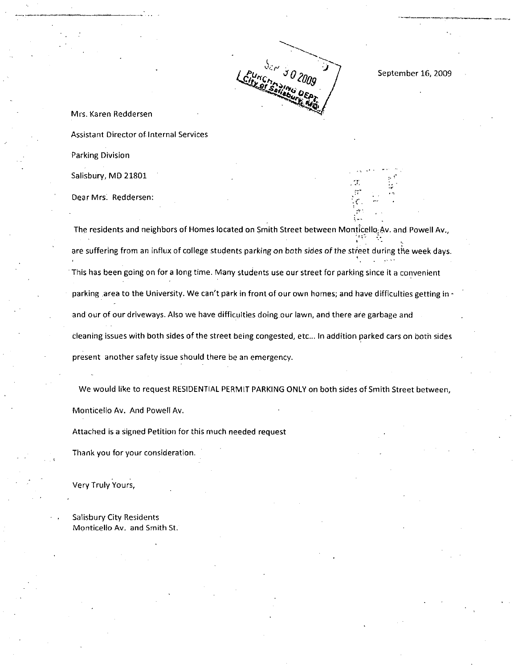Ser .  $\begin{array}{r} \begin{array}{c} \begin{array}{c} \mathcal{J} & \mathcal{O} \\ \mathcal{J} & \mathcal{O} \end{array} \\ \hline \end{array} \\ \begin{array}{c} \mathcal{J} & \mathcal{O} \\ \mathcal{O} & \mathcal{O} \end{array} \end{array} \end{array}$  September 16, 2009

Mrs. Karen Reddersen Assistant Director of Internal Services

Parking Division

Salisbury, MD 21801

Dear Mrs. Reddersen:

The residents and neighbors of Homes located on Smith Street between Monticello Av. and Powell Av., are suffering from an influx of college students parking on both sides of the street during the week days This has been going on for a long time. Many students use our street for parking since it a convenient The residents and neighbors of Homes locat<br>are suffering from an influx of college studer<br>This has been going on for a long time. Many<br>parking area to the University. We can't par<br>and our of our driveways. Also we have dif parking area to the University. We can't park in front of our own homes; and have difficulties getting in and our of our driveways. Also we have difficulties doing our lawn, and there are garbage and cleaning issues with both sides of the street being congested, etc... In addition parked cars on both sides present another safety issue should there be an emergency.

We would like to request RESIDENTIAL PERMIT PARKING ONLY on both sides of Smith Street between, Monticello Av. And Powell Av.

Attached is <sup>a</sup> signed Petition for this much needed request

Thank you for your consideration

Very Truly Yours

Salisbury City Residents Monticello Av. and Smith St.